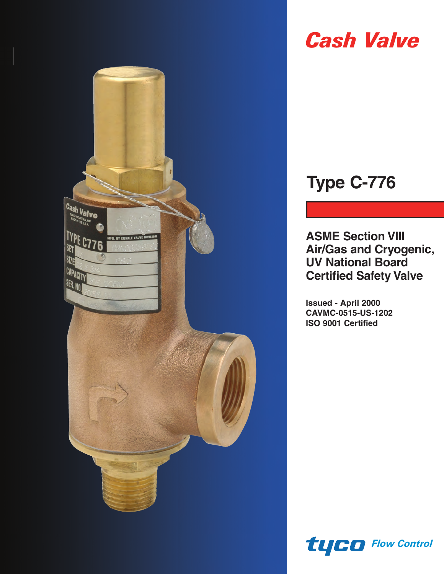

# *Cash Valve*

## **Type C-776**

**ASME Section VIII Air/Gas and Cryogenic, UV National Board Certified Safety Valve**

**Issued - April 2000 CAVMC-0515-US-1202 ISO 9001 Certified**

*Flow Control*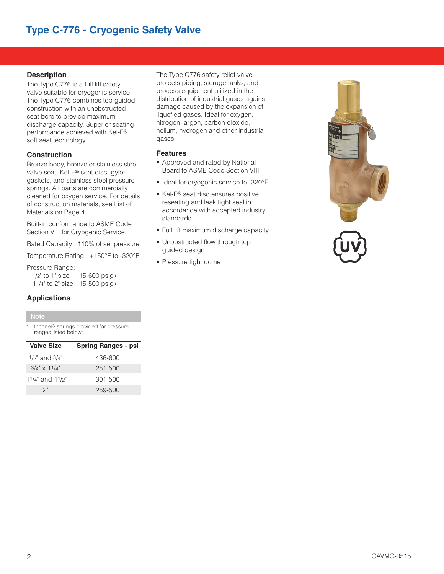## **Type C-776 - Cryogenic Safety Valve**

#### **Description**

The Type C776 is a full lift safety valve suitable for cryogenic service. The Type C776 combines top guided construction with an unobstructed seat bore to provide maximum discharge capacity. Superior seating performance achieved with Kel-F® soft seat technology.

#### **Construction**

Bronze body, bronze or stainless steel valve seat, Kel-F® seat disc, gylon gaskets, and stainless steel pressure springs. All parts are commercially cleaned for oxygen service. For details of construction materials, see List of Materials on Page 4.

Built-in conformance to ASME Code Section VIII for Cryogenic Service.

Rated Capacity: 110% of set pressure

Temperature Rating: +150°F to -320°F

#### Pressure Range:

1/2" to 1" size 15-600 psig*1* 11/4" to 2" size 15-500 psig*1*

#### **Applications**

#### **Note**

1. Inconel® springs provided for pressure ranges listed below:

| <b>Valve Size</b>     | <b>Spring Ranges - psi</b> |
|-----------------------|----------------------------|
| $1/2"$ and $3/4"$     | 436-600                    |
| $3/4'' \times 11/4''$ | 251-500                    |
| 11/4" and 11/2"       | $301 - 500$                |
| 2"                    | 259-500                    |

The Type C776 safety relief valve protects piping, storage tanks, and process equipment utilized in the distribution of industrial gases against damage caused by the expansion of liquefied gases. Ideal for oxygen, nitrogen, argon, carbon dioxide, helium, hydrogen and other industrial gases.

#### **Features**

- Approved and rated by National Board to ASME Code Section VIII
- Ideal for cryogenic service to -320°F
- Kel-F® seat disc ensures positive reseating and leak tight seal in accordance with accepted industry standards
- Full lift maximum discharge capacity
- Unobstructed flow through top guided design
- Pressure tight dome

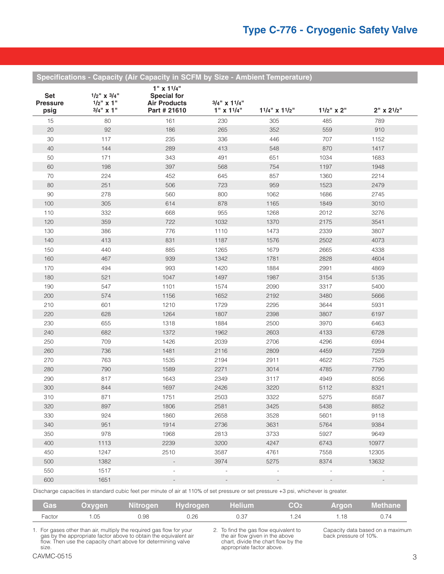**Specifications - Capacity (Air Capacity in SCFM by Size - Ambient Temperature)**

| <b>Set</b><br><b>Pressure</b><br>psig | $1/2$ " x $3/4$ "<br>$1/2$ " x 1"<br>$3/4$ " x 1" | $1''$ x $11/4''$<br><b>Special for</b><br><b>Air Products</b><br>Part # 21610 | $3/4$ " x $11/4$ "<br>$1"$ x $11/4"$ | $11/4$ " x $11/2$ "      | $11/2$ " x 2"            | $2" \times 2^{1/2"$      |
|---------------------------------------|---------------------------------------------------|-------------------------------------------------------------------------------|--------------------------------------|--------------------------|--------------------------|--------------------------|
| 15                                    | 80                                                | 161                                                                           | 230                                  | 305                      | 485                      | 789                      |
| 20                                    | 92                                                | 186                                                                           | 265                                  | 352                      | 559                      | 910                      |
| 30                                    | 117                                               | 235                                                                           | 336                                  | 446                      | 707                      | 1152                     |
| 40                                    | 144                                               | 289                                                                           | 413                                  | 548                      | 870                      | 1417                     |
| 50                                    | 171                                               | 343                                                                           | 491                                  | 651                      | 1034                     | 1683                     |
| 60                                    | 198                                               | 397                                                                           | 568                                  | 754                      | 1197                     | 1948                     |
| 70                                    | 224                                               | 452                                                                           | 645                                  | 857                      | 1360                     | 2214                     |
| 80                                    | 251                                               | 506                                                                           | 723                                  | 959                      | 1523                     | 2479                     |
| 90                                    | 278                                               | 560                                                                           | 800                                  | 1062                     | 1686                     | 2745                     |
| 100                                   | 305                                               | 614                                                                           | 878                                  | 1165                     | 1849                     | 3010                     |
| 110                                   | 332                                               | 668                                                                           | 955                                  | 1268                     | 2012                     | 3276                     |
| 120                                   | 359                                               | 722                                                                           | 1032                                 | 1370                     | 2175                     | 3541                     |
| 130                                   | 386                                               | 776                                                                           | 1110                                 | 1473                     | 2339                     | 3807                     |
| 140                                   | 413                                               | 831                                                                           | 1187                                 | 1576                     | 2502                     | 4073                     |
| 150                                   | 440                                               | 885                                                                           | 1265                                 | 1679                     | 2665                     | 4338                     |
| 160                                   | 467                                               | 939                                                                           | 1342                                 | 1781                     | 2828                     | 4604                     |
| 170                                   | 494                                               | 993                                                                           | 1420                                 | 1884                     | 2991                     | 4869                     |
| 180                                   | 521                                               | 1047                                                                          | 1497                                 | 1987                     | 3154                     | 5135                     |
| 190                                   | 547                                               | 1101                                                                          | 1574                                 | 2090                     | 3317                     | 5400                     |
| 200                                   | 574                                               | 1156                                                                          | 1652                                 | 2192                     | 3480                     | 5666                     |
| 210                                   | 601                                               | 1210                                                                          | 1729                                 | 2295                     | 3644                     | 5931                     |
| 220                                   | 628                                               | 1264                                                                          | 1807                                 | 2398                     | 3807                     | 6197                     |
| 230                                   | 655                                               | 1318                                                                          | 1884                                 | 2500                     | 3970                     | 6463                     |
| 240                                   | 682                                               | 1372                                                                          | 1962                                 | 2603                     | 4133                     | 6728                     |
| 250                                   | 709                                               | 1426                                                                          | 2039                                 | 2706                     | 4296                     | 6994                     |
| 260                                   | 736                                               | 1481                                                                          | 2116                                 | 2809                     | 4459                     | 7259                     |
| 270                                   | 763                                               | 1535                                                                          | 2194                                 | 2911                     | 4622                     | 7525                     |
| 280                                   | 790                                               | 1589                                                                          | 2271                                 | 3014                     | 4785                     | 7790                     |
| 290                                   | 817                                               | 1643                                                                          | 2349                                 | 3117                     | 4949                     | 8056                     |
| 300                                   | 844                                               | 1697                                                                          | 2426                                 | 3220                     | 5112                     | 8321                     |
| 310                                   | 871                                               | 1751                                                                          | 2503                                 | 3322                     | 5275                     | 8587                     |
| 320                                   | 897                                               | 1806                                                                          | 2581                                 | 3425                     | 5438                     | 8852                     |
| 330                                   | 924                                               | 1860                                                                          | 2658                                 | 3528                     | 5601                     | 9118                     |
| 340                                   | 951                                               | 1914                                                                          | 2736                                 | 3631                     | 5764                     | 9384                     |
| 350                                   | 978                                               | 1968                                                                          | 2813                                 | 3733                     | 5927                     | 9649                     |
| 400                                   | 1113                                              | 2239                                                                          | 3200                                 | 4247                     | 6743                     | 10977                    |
| 450                                   | 1247                                              | 2510                                                                          | 3587                                 | 4761                     | 7558                     | 12305                    |
| 500                                   | 1382                                              | $\overline{\phantom{a}}$                                                      | 3974                                 | 5275                     | 8374                     | 13632                    |
| 550                                   | 1517                                              | $\overline{a}$                                                                | $\overline{a}$                       | $\frac{1}{2}$            |                          | $\overline{\phantom{a}}$ |
| 600                                   | 1651                                              | $\overline{\phantom{a}}$                                                      | $\overline{\phantom{a}}$             | $\overline{\phantom{a}}$ | $\overline{\phantom{a}}$ | $\overline{\phantom{a}}$ |
|                                       |                                                   |                                                                               |                                      |                          |                          |                          |

Discharge capacities in standard cubic feet per minute of air at 110% of set pressure or set pressure +3 psi, whichever is greater.

| <b>Gas</b> |      |      | <b>Oxygen Nitrogen Hydrogen Helium</b> |      | CO <sub>2</sub> |      | <b>Argon</b> Methane |
|------------|------|------|----------------------------------------|------|-----------------|------|----------------------|
| Factor     | 1.05 | 0.98 | 0.26                                   | 0.37 | .24             | 1.18 |                      |

1. For gases other than air, multiply the required gas flow for your gas by the appropriate factor above to obtain the equivalent air flow. Then use the capacity chart above for determining valve size.

2. To find the gas flow equivalent to the air flow given in the above chart, divide the chart flow by the appropriate factor above.

Capacity data based on a maximum back pressure of 10%.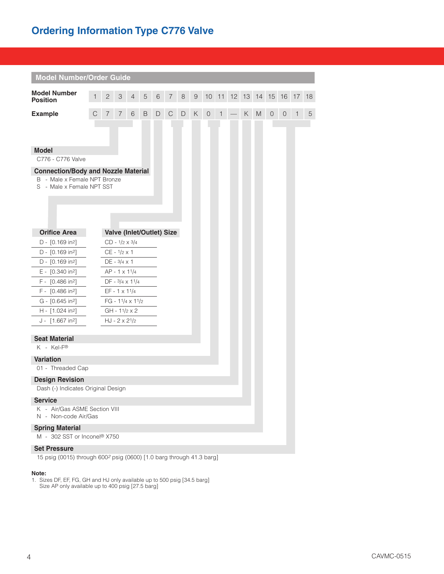## **Ordering Information Type C776 Valve**

| <b>Model Number/Order Guide</b>                                                                         |   |              |                       |                         |   |   |                           |        |                |                 |    |    |   |       |             |    |    |    |
|---------------------------------------------------------------------------------------------------------|---|--------------|-----------------------|-------------------------|---|---|---------------------------|--------|----------------|-----------------|----|----|---|-------|-------------|----|----|----|
| <b>Model Number</b><br><b>Position</b>                                                                  |   | $\mathbf{2}$ | 3                     | $\overline{4}$          | 5 | 6 | $\sqrt{2}$                | 8      | $\overline{9}$ | 10 <sup>°</sup> | 11 | 12 |   | 13 14 | 15          | 16 | 17 | 18 |
| <b>Example</b>                                                                                          | С | 7            | $\overline{7}$        | 6                       | B | D | $\mathsf{C}$              | $\Box$ | Κ              | $\theta$        | 1  |    | Κ | M     | $\mathbf 0$ | 0  | 1  | 5  |
|                                                                                                         |   |              |                       |                         |   |   |                           |        |                |                 |    |    |   |       |             |    |    |    |
|                                                                                                         |   |              |                       |                         |   |   |                           |        |                |                 |    |    |   |       |             |    |    |    |
| <b>Model</b><br>C776 - C776 Valve                                                                       |   |              |                       |                         |   |   |                           |        |                |                 |    |    |   |       |             |    |    |    |
|                                                                                                         |   |              |                       |                         |   |   |                           |        |                |                 |    |    |   |       |             |    |    |    |
| <b>Connection/Body and Nozzle Material</b><br>B - Male x Female NPT Bronze<br>S - Male x Female NPT SST |   |              |                       |                         |   |   |                           |        |                |                 |    |    |   |       |             |    |    |    |
|                                                                                                         |   |              |                       |                         |   |   |                           |        |                |                 |    |    |   |       |             |    |    |    |
| <b>Orifice Area</b>                                                                                     |   |              |                       |                         |   |   | Valve (Inlet/Outlet) Size |        |                |                 |    |    |   |       |             |    |    |    |
| D - [0.169 in <sup>2</sup> ]                                                                            |   |              | $CD - 1/2 \times 3/4$ |                         |   |   |                           |        |                |                 |    |    |   |       |             |    |    |    |
| D - [0.169 in <sup>2</sup> ]                                                                            |   |              | $CE - 1/2 \times 1$   |                         |   |   |                           |        |                |                 |    |    |   |       |             |    |    |    |
| D - [0.169 in <sup>2</sup> ]                                                                            |   |              | $DE - 3/4 \times 1$   |                         |   |   |                           |        |                |                 |    |    |   |       |             |    |    |    |
| $E - [0.340 in2]$                                                                                       |   |              | AP - 1 x 11/4         |                         |   |   |                           |        |                |                 |    |    |   |       |             |    |    |    |
| F - [0.486 in <sup>2</sup> ]                                                                            |   |              |                       | $DF - 3/4 \times 11/4$  |   |   |                           |        |                |                 |    |    |   |       |             |    |    |    |
| F - [0.486 in2]                                                                                         |   |              | $EF - 1 \times 11/4$  |                         |   |   |                           |        |                |                 |    |    |   |       |             |    |    |    |
| G - [0.645 in <sup>2</sup> ]                                                                            |   |              |                       | FG - $11/4 \times 11/2$ |   |   |                           |        |                |                 |    |    |   |       |             |    |    |    |
| H - [1.024 in <sup>2</sup> ]                                                                            |   |              |                       | $GH - 11/2 \times 2$    |   |   |                           |        |                |                 |    |    |   |       |             |    |    |    |
| J - [1.667 in <sup>2</sup> ]                                                                            |   |              | $HJ - 2 \times 21/2$  |                         |   |   |                           |        |                |                 |    |    |   |       |             |    |    |    |
| <b>Seat Material</b>                                                                                    |   |              |                       |                         |   |   |                           |        |                |                 |    |    |   |       |             |    |    |    |
| K - Kel-F®                                                                                              |   |              |                       |                         |   |   |                           |        |                |                 |    |    |   |       |             |    |    |    |
| <b>Variation</b>                                                                                        |   |              |                       |                         |   |   |                           |        |                |                 |    |    |   |       |             |    |    |    |
| 01 - Threaded Cap                                                                                       |   |              |                       |                         |   |   |                           |        |                |                 |    |    |   |       |             |    |    |    |
| <b>Design Revision</b>                                                                                  |   |              |                       |                         |   |   |                           |        |                |                 |    |    |   |       |             |    |    |    |
| Dash (-) Indicates Original Design                                                                      |   |              |                       |                         |   |   |                           |        |                |                 |    |    |   |       |             |    |    |    |
| <b>Service</b>                                                                                          |   |              |                       |                         |   |   |                           |        |                |                 |    |    |   |       |             |    |    |    |
| K - Air/Gas ASME Section VIII<br>N - Non-code Air/Gas                                                   |   |              |                       |                         |   |   |                           |        |                |                 |    |    |   |       |             |    |    |    |
| <b>Spring Material</b><br>M - 302 SST or Inconel® X750                                                  |   |              |                       |                         |   |   |                           |        |                |                 |    |    |   |       |             |    |    |    |
| <b>Set Pressure</b><br>15 psig (0015) through 600 <sup>2</sup> psig (0600) [1.0 barg through 41.3 barg] |   |              |                       |                         |   |   |                           |        |                |                 |    |    |   |       |             |    |    |    |

#### **Note:**

1. Sizes DF, EF, FG, GH and HJ only available up to 500 psig [34.5 barg] Size AP only available up to 400 psig [27.5 barg]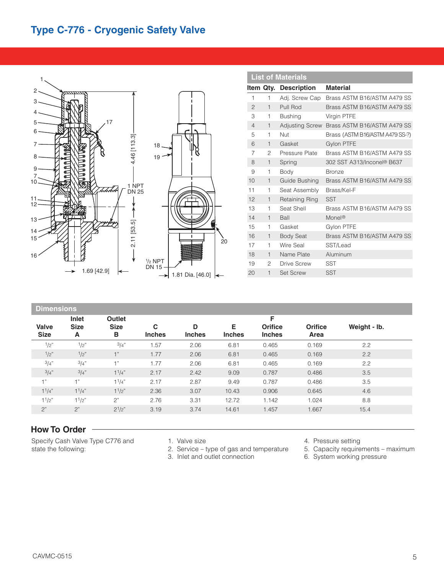## **Type C-776 - Cryogenic Safety Valve**



|                |                | <b>List of Materials</b> |                                 |
|----------------|----------------|--------------------------|---------------------------------|
|                | Item Qty.      | <b>Description</b>       | <b>Material</b>                 |
| 1              | 1              | Adj. Screw Cap           | Brass ASTM B16/ASTM A479 SS     |
| $\overline{2}$ | $\mathbf{1}$   | Pull Rod                 | Brass ASTM B16/ASTM A479 SS     |
| 3              | 1              | <b>Bushing</b>           | Virgin PTFE                     |
| $\overline{4}$ | $\mathbf{1}$   | <b>Adjusting Screw</b>   | Brass ASTM B16/ASTM A479 SS     |
| 5              | 1              | Nut                      | Brass (ASTM B16/ASTM A479 SS-?) |
| 6              | $\mathbf{1}$   | Gasket                   | <b>Gylon PTFE</b>               |
| 7              | $\mathfrak{p}$ | Pressure Plate           | Brass ASTM B16/ASTM A479 SS     |
| 8              | $\mathbf{1}$   | Spring                   | 302 SST A313/Inconel® B637      |
| 9              | 1              | Body                     | <b>Bronze</b>                   |
| 10             | $\mathbf{1}$   | Guide Bushing            | Brass ASTM B16/ASTM A479 SS     |
| 11             | 1              | Seat Assembly            | Brass/Kel-F                     |
| 12             | $\mathbf{1}$   | Retaining Ring           | <b>SST</b>                      |
| 13             | 1              | Seat Shell               | Brass ASTM B16/ASTM A479 SS     |
| 14             | $\mathbf{1}$   | Ball                     | Monel <sup>®</sup>              |
| 15             | 1              | Gasket                   | Gylon PTFE                      |
| 16             | $\mathbf{1}$   | <b>Body Seat</b>         | Brass ASTM B16/ASTM A479 SS     |
| 17             | 1              | Wire Seal                | SST/Lead                        |
| 18             | $\mathbf{1}$   | Name Plate               | Aluminum                        |
| 19             | 2              | Drive Screw              | <b>SST</b>                      |
| 20             | $\overline{1}$ | <b>Set Screw</b>         | <b>SST</b>                      |

| <b>Dimensions</b>           |                           |                            |                    |                    |                    |                                      |                        |              |  |  |
|-----------------------------|---------------------------|----------------------------|--------------------|--------------------|--------------------|--------------------------------------|------------------------|--------------|--|--|
| <b>Valve</b><br><b>Size</b> | Inlet<br><b>Size</b><br>A | Outlet<br><b>Size</b><br>в | C<br><b>Inches</b> | D<br><b>Inches</b> | Е<br><b>Inches</b> | F<br><b>Orifice</b><br><b>Inches</b> | <b>Orifice</b><br>Area | Weight - Ib. |  |  |
| 1/2"                        | 1/2"                      | 3/4"                       | 1.57               | 2.06               | 6.81               | 0.465                                | 0.169                  | 2.2          |  |  |
| 1/2"                        | 1/2"                      | $-1$ <sup>33</sup>         | 1.77               | 2.06               | 6.81               | 0.465                                | 0.169                  | 2.2          |  |  |
| 3/4"                        | 3/4"                      | $+$ "                      | 1.77               | 2.06               | 6.81               | 0.465                                | 0.169                  | 2.2          |  |  |
| 3/4"                        | 3/4"                      | 11/4"                      | 2.17               | 2.42               | 9.09               | 0.787                                | 0.486                  | 3.5          |  |  |
| 1"                          | 1"                        | 11/4"                      | 2.17               | 2.87               | 9.49               | 0.787                                | 0.486                  | 3.5          |  |  |
| $1^{1}/4$ "                 | $1^{1}/4$ "               | $1^{1/2"$                  | 2.36               | 3.07               | 10.43              | 0.906                                | 0.645                  | 4.6          |  |  |
| 11/2"                       | 11/2"                     | 2"                         | 2.76               | 3.31               | 12.72              | 1.142                                | 1.024                  | 8.8          |  |  |
| 2"                          | 2"                        | $2^{1/2"}$                 | 3.19               | 3.74               | 14.61              | 1.457                                | 1.667                  | 15.4         |  |  |

## **How To Order \_\_\_\_\_\_\_\_\_\_\_\_\_\_\_\_\_\_\_\_\_\_\_\_\_\_\_\_\_\_\_\_\_\_\_\_\_\_\_\_\_\_\_\_\_\_\_\_\_\_\_\_\_\_\_\_\_\_\_\_\_\_\_\_\_\_\_\_**

Specify Cash Valve Type C776 and state the following:

- 1. Valve size
- 2. Service type of gas and temperature
- 3. Inlet and outlet connection
- 4. Pressure setting
- 5. Capacity requirements maximum
- 6. System working pressure